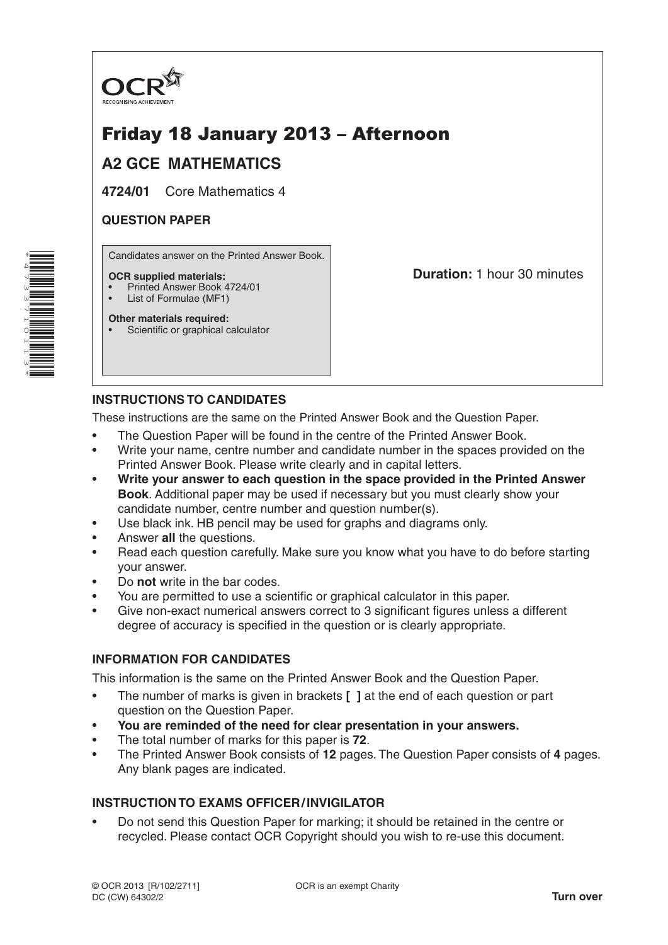

# Friday 18 January 2013 – Afternoon

# **A2 GCE MATHEMATICS**

**4724/01** Core Mathematics 4

#### **QUESTION PAPER**

Candidates answer on the Printed Answer Book.

#### **OCR supplied materials:**

- Printed Answer Book 4724/01
- List of Formulae (MF1)

**Other materials required:** Scientific or graphical calculator **Duration:** 1 hour 30 minutes

## **INSTRUCTIONS TO CANDIDATES**

These instructions are the same on the Printed Answer Book and the Question Paper.

- The Question Paper will be found in the centre of the Printed Answer Book.
- Write your name, centre number and candidate number in the spaces provided on the Printed Answer Book. Please write clearly and in capital letters.
- **Write your answer to each question in the space provided in the Printed Answer Book**. Additional paper may be used if necessary but you must clearly show your candidate number, centre number and question number(s).
- Use black ink. HB pencil may be used for graphs and diagrams only.
- Answer **all** the questions.
- Read each question carefully. Make sure you know what you have to do before starting your answer.
- Do **not** write in the bar codes.
- You are permitted to use a scientific or graphical calculator in this paper.
- Give non-exact numerical answers correct to 3 significant figures unless a different degree of accuracy is specified in the question or is clearly appropriate.

### **INFORMATION FOR CANDIDATES**

This information is the same on the Printed Answer Book and the Question Paper.

- The number of marks is given in brackets **[ ]** at the end of each question or part question on the Question Paper.
- **You are reminded of the need for clear presentation in your answers.**
- The total number of marks for this paper is **72**.
- The Printed Answer Book consists of **12** pages. The Question Paper consists of **4** pages. Any blank pages are indicated.

### **INSTRUCTION TO EXAMS OFFICER/INVIGILATOR**

• Do not send this Question Paper for marking; it should be retained in the centre or recycled. Please contact OCR Copyright should you wish to re-use this document.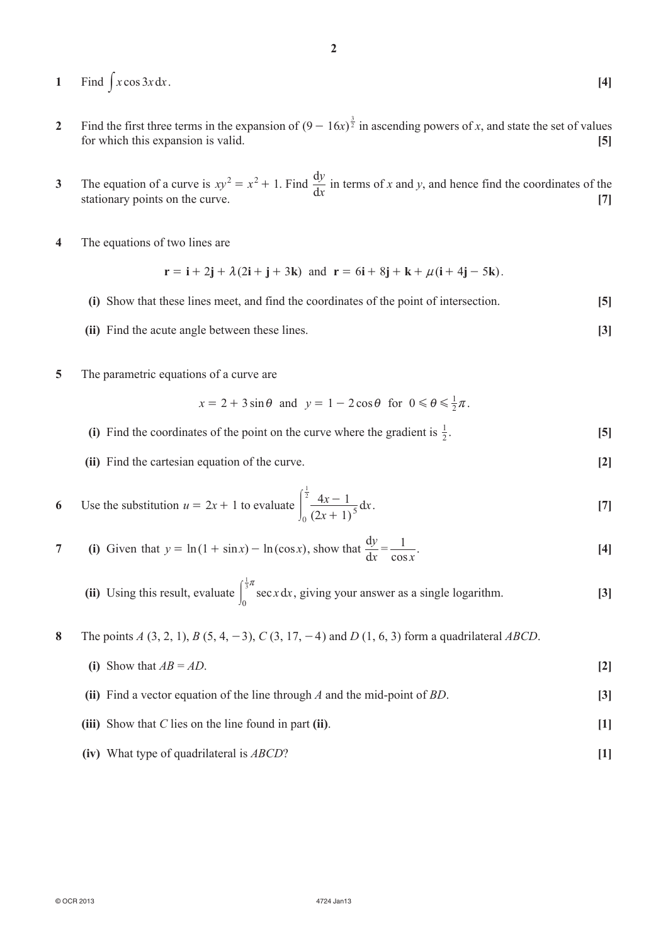- 1 Find  $\int x \cos 3x \, dx$ . **[4]**
- **2** Find the first three terms in the expansion of  $(9 16x)^{\frac{3}{2}}$  in ascending powers of *x*, and state the set of values for which this expansion is valid. **[5]**

**2**

- **3** The equation of a curve is  $xy^2 = x^2 + 1$ . Find  $\frac{dy}{dx}$ *y*  $\frac{dy}{dx}$  in terms of *x* and *y*, and hence find the coordinates of the stationary points on the curve. **[7]**
- **4**  The equations of two lines are

$$
\mathbf{r} = \mathbf{i} + 2\mathbf{j} + \lambda(2\mathbf{i} + \mathbf{j} + 3\mathbf{k}) \text{ and } \mathbf{r} = 6\mathbf{i} + 8\mathbf{j} + \mathbf{k} + \mu(\mathbf{i} + 4\mathbf{j} - 5\mathbf{k}).
$$

- **(i)** Show that these lines meet, and find the coordinates of the point of intersection. **[5]**
- **(ii)** Find the acute angle between these lines. **[3]**
- **5** The parametric equations of a curve are

$$
x = 2 + 3\sin\theta \text{ and } y = 1 - 2\cos\theta \text{ for } 0 \le \theta \le \frac{1}{2}\pi.
$$

- **(i)** Find the coordinates of the point on the curve where the gradient is  $\frac{1}{2}$ .  $\frac{1}{2}$ . **[5]**
- **(ii)** Find the cartesian equation of the curve. **[2]**

6 Use the substitution 
$$
u = 2x + 1
$$
 to evaluate 
$$
\int_0^{\frac{1}{2}} \frac{4x - 1}{(2x + 1)^5} dx.
$$
 [7]

7 (i) Given that 
$$
y = \ln(1 + \sin x) - \ln(\cos x)
$$
, show that  $\frac{dy}{dx} = \frac{1}{\cos x}$ . [4]

(ii) Using this result, evaluate 
$$
\int_0^{\frac{1}{3}\pi} \sec x \, dx
$$
, giving your answer as a single logarithm. [3]

**8** The points *A* (3, 2, 1), *B* (5, 4, -3), *C* (3, 17, -4) and *D* (1, 6, 3) form a quadrilateral *ABCD*.

(i) Show that 
$$
AB = AD
$$
. [2]

- **(ii)** Find a vector equation of the line through *A* and the mid-point of *BD*. **[3]**
- *(iii)* Show that *C* lies on the line found in part **(ii)**. **[1]**
- **(iv)** What type of quadrilateral is *ABCD*? **[1]**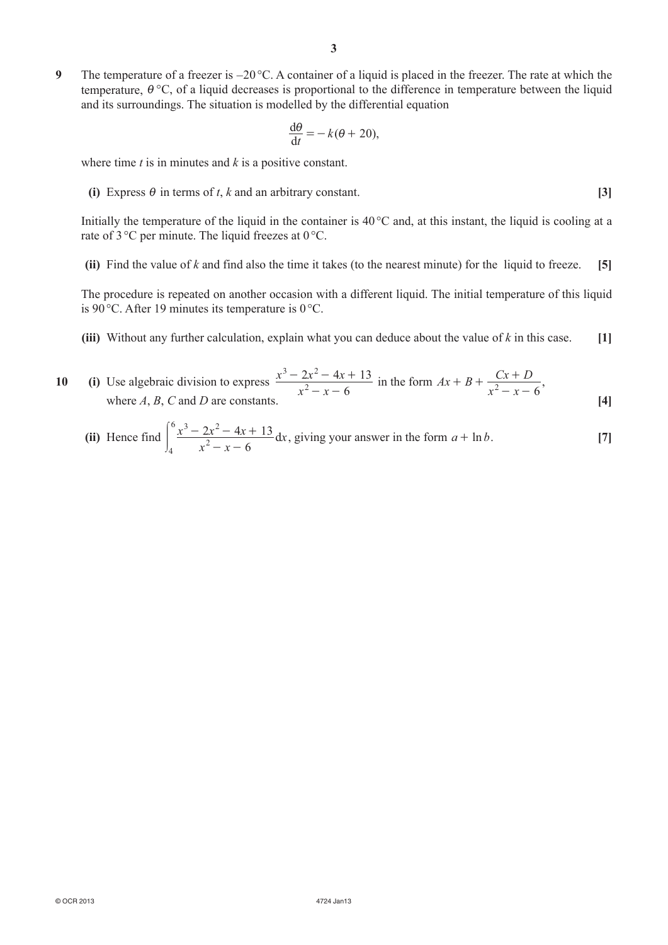**9** The temperature of a freezer is −20 °C. A container of a liquid is placed in the freezer. The rate at which the temperature,  $\theta$  °C, of a liquid decreases is proportional to the difference in temperature between the liquid and its surroundings. The situation is modelled by the differential equation

$$
\frac{\mathrm{d}\theta}{\mathrm{d}t} = -k(\theta + 20),
$$

where time *t* is in minutes and *k* is a positive constant.

**(i)** Express  $\theta$  in terms of *t*, *k* and an arbitrary constant. **[3]** 

Initially the temperature of the liquid in the container is 40 °C and, at this instant, the liquid is cooling at a rate of 3 °C per minute. The liquid freezes at 0°C.

**(ii)** Find the value of  $k$  and find also the time it takes (to the nearest minute) for the liquid to freeze. **[5]** 

The procedure is repeated on another occasion with a different liquid. The initial temperature of this liquid is 90 °C. After 19 minutes its temperature is 0 °C.

**(iii)** Without any further calculation, explain what you can deduce about the value of  $k$  in this case.  $[1]$ 

10 (i) Use algebraic division to express 
$$
\frac{x^3 - 2x^2 - 4x + 13}{x^2 - x - 6}
$$
 in the form  $Ax + B + \frac{Cx + D}{x^2 - x - 6}$ , where *A*, *B*, *C* and *D* are constants. [4]

(ii) Hence find 
$$
\int_{4}^{6} \frac{x^3 - 2x^2 - 4x + 13}{x^2 - x - 6} dx
$$
, giving your answer in the form  $a + \ln b$ . [7]